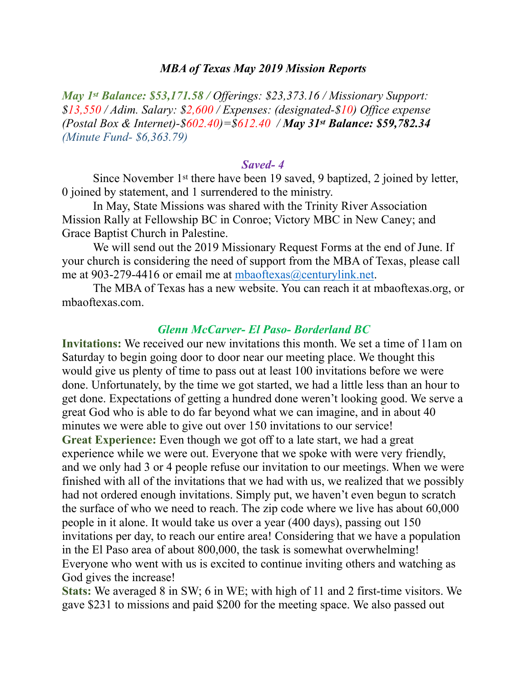#### *MBA of Texas May 2019 Mission Reports*

*May 1st Balance: \$53,171.58 / Offerings: \$23,373.16 / Missionary Support: \$13,550 / Adim. Salary: \$2,600 / Expenses: (designated-\$10) Office expense (Postal Box & Internet)-\$602.40)=\$612.40 / May 31st Balance: \$59,782.34 (Minute Fund- \$6,363.79)* 

#### *Saved- 4*

 Since November 1st there have been 19 saved, 9 baptized, 2 joined by letter, 0 joined by statement, and 1 surrendered to the ministry.

 In May, State Missions was shared with the Trinity River Association Mission Rally at Fellowship BC in Conroe; Victory MBC in New Caney; and Grace Baptist Church in Palestine.

 We will send out the 2019 Missionary Request Forms at the end of June. If your church is considering the need of support from the MBA of Texas, please call me at 903-279-4416 or email me at [mbaoftexas@centurylink.net.](mailto:mbaoftexas@centurylink.net)

 The MBA of Texas has a new website. You can reach it at mbaoftexas.org, or mbaoftexas.com.

### *Glenn McCarver- El Paso- Borderland BC*

**Invitations:** We received our new invitations this month. We set a time of 11am on Saturday to begin going door to door near our meeting place. We thought this would give us plenty of time to pass out at least 100 invitations before we were done. Unfortunately, by the time we got started, we had a little less than an hour to get done. Expectations of getting a hundred done weren't looking good. We serve a great God who is able to do far beyond what we can imagine, and in about 40 minutes we were able to give out over 150 invitations to our service! **Great Experience:** Even though we got off to a late start, we had a great experience while we were out. Everyone that we spoke with were very friendly, and we only had 3 or 4 people refuse our invitation to our meetings. When we were finished with all of the invitations that we had with us, we realized that we possibly had not ordered enough invitations. Simply put, we haven't even begun to scratch the surface of who we need to reach. The zip code where we live has about 60,000 people in it alone. It would take us over a year (400 days), passing out 150 invitations per day, to reach our entire area! Considering that we have a population in the El Paso area of about 800,000, the task is somewhat overwhelming! Everyone who went with us is excited to continue inviting others and watching as God gives the increase!

**Stats:** We averaged 8 in SW; 6 in WE; with high of 11 and 2 first-time visitors. We gave \$231 to missions and paid \$200 for the meeting space. We also passed out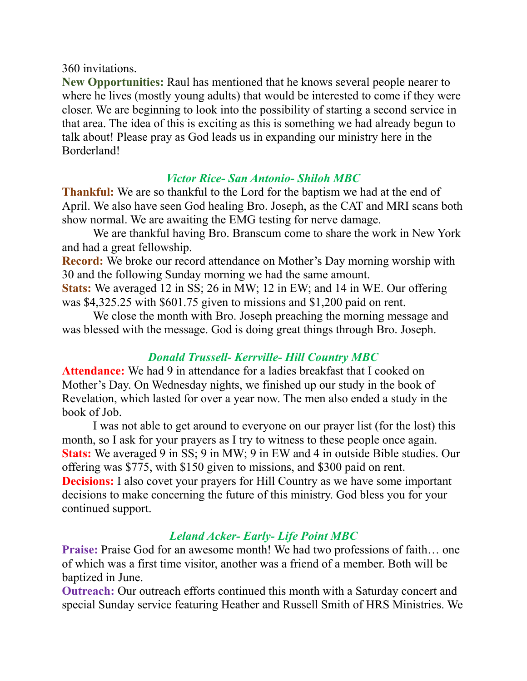### 360 invitations.

**New Opportunities:** Raul has mentioned that he knows several people nearer to where he lives (mostly young adults) that would be interested to come if they were closer. We are beginning to look into the possibility of starting a second service in that area. The idea of this is exciting as this is something we had already begun to talk about! Please pray as God leads us in expanding our ministry here in the Borderland!

### *Victor Rice- San Antonio- Shiloh MBC*

**Thankful:** We are so thankful to the Lord for the baptism we had at the end of April. We also have seen God healing Bro. Joseph, as the CAT and MRI scans both show normal. We are awaiting the EMG testing for nerve damage.

 We are thankful having Bro. Branscum come to share the work in New York and had a great fellowship.

**Record:** We broke our record attendance on Mother's Day morning worship with 30 and the following Sunday morning we had the same amount.

**Stats:** We averaged 12 in SS; 26 in MW; 12 in EW; and 14 in WE. Our offering was \$4,325.25 with \$601.75 given to missions and \$1,200 paid on rent.

 We close the month with Bro. Joseph preaching the morning message and was blessed with the message. God is doing great things through Bro. Joseph.

## *Donald Trussell- Kerrville- Hill Country MBC*

**Attendance:** We had 9 in attendance for a ladies breakfast that I cooked on Mother's Day. On Wednesday nights, we finished up our study in the book of Revelation, which lasted for over a year now. The men also ended a study in the book of Job.

 I was not able to get around to everyone on our prayer list (for the lost) this month, so I ask for your prayers as I try to witness to these people once again. **Stats:** We averaged 9 in SS; 9 in MW; 9 in EW and 4 in outside Bible studies. Our offering was \$775, with \$150 given to missions, and \$300 paid on rent. **Decisions:** I also covet your prayers for Hill Country as we have some important decisions to make concerning the future of this ministry. God bless you for your continued support.

# *Leland Acker- Early- Life Point MBC*

**Praise:** Praise God for an awesome month! We had two professions of faith... one of which was a first time visitor, another was a friend of a member. Both will be baptized in June.

**Outreach:** Our outreach efforts continued this month with a Saturday concert and special Sunday service featuring Heather and Russell Smith of HRS Ministries. We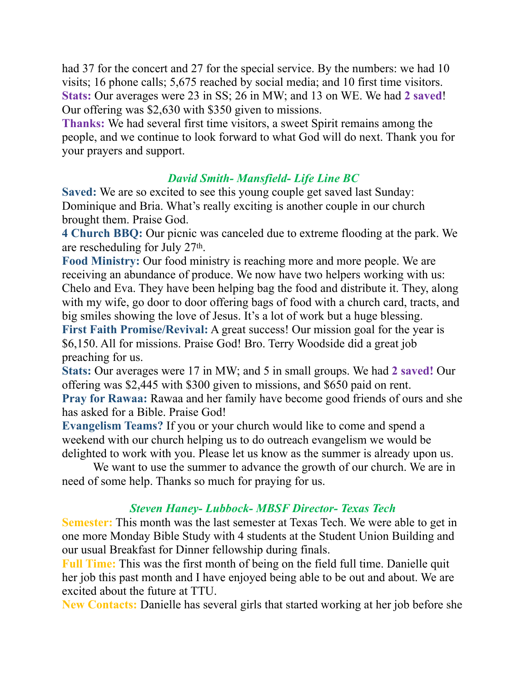had 37 for the concert and 27 for the special service. By the numbers: we had 10 visits; 16 phone calls; 5,675 reached by social media; and 10 first time visitors. **Stats:** Our averages were 23 in SS; 26 in MW; and 13 on WE. We had **2 saved**! Our offering was \$2,630 with \$350 given to missions.

**Thanks:** We had several first time visitors, a sweet Spirit remains among the people, and we continue to look forward to what God will do next. Thank you for your prayers and support.

# *David Smith- Mansfield- Life Line BC*

**Saved:** We are so excited to see this young couple get saved last Sunday: Dominique and Bria. What's really exciting is another couple in our church brought them. Praise God.

**4 Church BBQ:** Our picnic was canceled due to extreme flooding at the park. We are rescheduling for July 27th.

**Food Ministry:** Our food ministry is reaching more and more people. We are receiving an abundance of produce. We now have two helpers working with us: Chelo and Eva. They have been helping bag the food and distribute it. They, along with my wife, go door to door offering bags of food with a church card, tracts, and big smiles showing the love of Jesus. It's a lot of work but a huge blessing. **First Faith Promise/Revival:** A great success! Our mission goal for the year is \$6,150. All for missions. Praise God! Bro. Terry Woodside did a great job preaching for us.

**Stats:** Our averages were 17 in MW; and 5 in small groups. We had **2 saved!** Our offering was \$2,445 with \$300 given to missions, and \$650 paid on rent. **Pray for Rawaa:** Rawaa and her family have become good friends of ours and she has asked for a Bible. Praise God!

**Evangelism Teams?** If you or your church would like to come and spend a weekend with our church helping us to do outreach evangelism we would be delighted to work with you. Please let us know as the summer is already upon us.

 We want to use the summer to advance the growth of our church. We are in need of some help. Thanks so much for praying for us.

## *Steven Haney- Lubbock- MBSF Director- Texas Tech*

**Semester:** This month was the last semester at Texas Tech. We were able to get in one more Monday Bible Study with 4 students at the Student Union Building and our usual Breakfast for Dinner fellowship during finals.

**Full Time:** This was the first month of being on the field full time. Danielle quit her job this past month and I have enjoyed being able to be out and about. We are excited about the future at TTU.

**New Contacts:** Danielle has several girls that started working at her job before she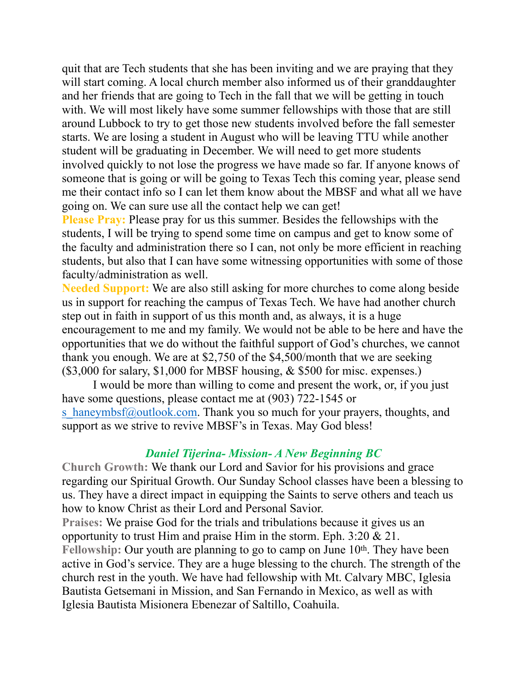quit that are Tech students that she has been inviting and we are praying that they will start coming. A local church member also informed us of their granddaughter and her friends that are going to Tech in the fall that we will be getting in touch with. We will most likely have some summer fellowships with those that are still around Lubbock to try to get those new students involved before the fall semester starts. We are losing a student in August who will be leaving TTU while another student will be graduating in December. We will need to get more students involved quickly to not lose the progress we have made so far. If anyone knows of someone that is going or will be going to Texas Tech this coming year, please send me their contact info so I can let them know about the MBSF and what all we have going on. We can sure use all the contact help we can get!

**Please Pray:** Please pray for us this summer. Besides the fellowships with the students, I will be trying to spend some time on campus and get to know some of the faculty and administration there so I can, not only be more efficient in reaching students, but also that I can have some witnessing opportunities with some of those faculty/administration as well.

**Needed Support:** We are also still asking for more churches to come along beside us in support for reaching the campus of Texas Tech. We have had another church step out in faith in support of us this month and, as always, it is a huge encouragement to me and my family. We would not be able to be here and have the opportunities that we do without the faithful support of God's churches, we cannot thank you enough. We are at \$2,750 of the \$4,500/month that we are seeking  $($3,000$  for salary, \$1,000 for MBSF housing,  $&$  \$500 for misc. expenses.)

 I would be more than willing to come and present the work, or, if you just have some questions, please contact me at  $(903)$  722-1545 or s haneymbsf@outlook.com. Thank you so much for your prayers, thoughts, and support as we strive to revive MBSF's in Texas. May God bless!

### *Daniel Tijerina- Mission- A New Beginning BC*

**Church Growth:** We thank our Lord and Savior for his provisions and grace regarding our Spiritual Growth. Our Sunday School classes have been a blessing to us. They have a direct impact in equipping the Saints to serve others and teach us how to know Christ as their Lord and Personal Savior.

**Praises:** We praise God for the trials and tribulations because it gives us an opportunity to trust Him and praise Him in the storm. Eph. 3:20 & 21. Fellowship: Our youth are planning to go to camp on June 10<sup>th</sup>. They have been active in God's service. They are a huge blessing to the church. The strength of the church rest in the youth. We have had fellowship with Mt. Calvary MBC, Iglesia Bautista Getsemani in Mission, and San Fernando in Mexico, as well as with Iglesia Bautista Misionera Ebenezar of Saltillo, Coahuila.